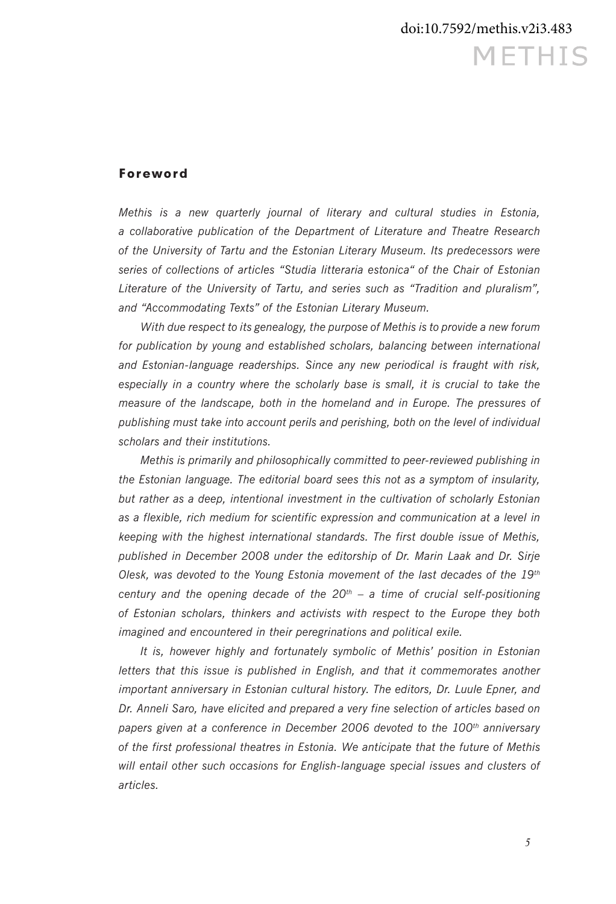## Foreword

*Methis is a new quarterly journal of literary and cultural studies in Estonia, a collaborative publication of the Department of Literature and Theatre Research of the University of Tartu and the Estonian Literary Museum. Its predecessors were series of collections of articles "Studia litteraria estonica" of the Chair of Estonian Literature of the University of Tartu, and series such as "Tradition and pluralism", and "Accommodating Texts" of the Estonian Literary Museum.* 

*With due respect to its genealogy, the purpose of Methis is to provide a new forum*  for publication by young and established scholars, balancing between international *and Estonian-language readerships. Since any new periodical is fraught with risk, especially in a country where the scholarly base is small, it is crucial to take the measure of the landscape, both in the homeland and in Europe. The pressures of publishing must take into account perils and perishing, both on the level of individual scholars and their institutions.* 

*Methis is primarily and philosophically committed to peer-reviewed publishing in the Estonian language. The editorial board sees this not as a symptom of insularity, but rather as a deep, intentional investment in the cultivation of scholarly Estonian as a flexible, rich medium for scientific expression and communication at a level in keeping with the highest international standards. The first double issue of Methis, published in December 2008 under the editorship of Dr. Marin Laak and Dr. Sirje Olesk, was devoted to the Young Estonia movement of the last decades of the 19th century and the opening decade of the*  $20^{th}$  *– a time of crucial self-positioning of Estonian scholars, thinkers and activists with respect to the Europe they both imagined and encountered in their peregrinations and political exile.* 

*It is, however highly and fortunately symbolic of Methis' position in Estonian letters that this issue is published in English, and that it commemorates another important anniversary in Estonian cultural history. The editors, Dr. Luule Epner, and Dr. Anneli Saro, have elicited and prepared a very fine selection of articles based on papers given at a conference in December 2006 devoted to the 100th anniversary of the first professional theatres in Estonia. We anticipate that the future of Methis*  will entail other such occasions for English-language special issues and clusters of *articles.*